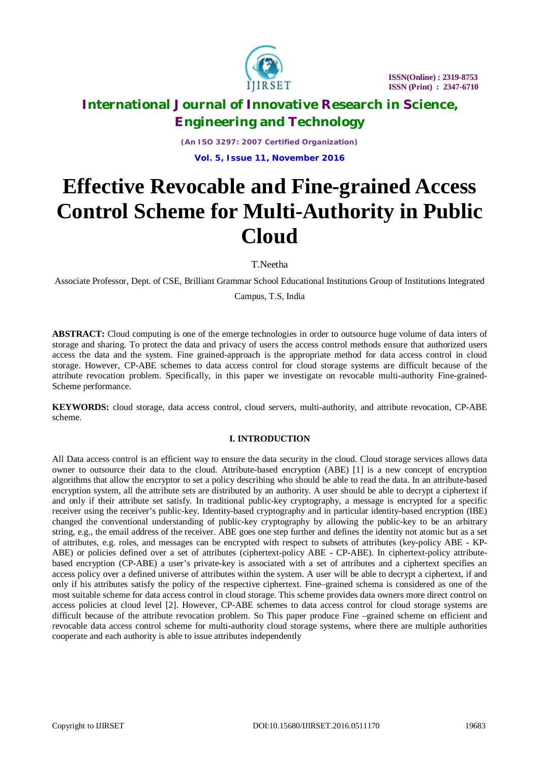

*(An ISO 3297: 2007 Certified Organization)* **Vol. 5, Issue 11, November 2016**

# **Effective Revocable and Fine-grained Access Control Scheme for Multi-Authority in Public Cloud**

T.Neetha

Associate Professor, Dept. of CSE, Brilliant Grammar School Educational Institutions Group of Institutions Integrated

Campus, T.S, India

**ABSTRACT:** Cloud computing is one of the emerge technologies in order to outsource huge volume of data inters of storage and sharing. To protect the data and privacy of users the access control methods ensure that authorized users access the data and the system. Fine grained-approach is the appropriate method for data access control in cloud storage. However, CP-ABE schemes to data access control for cloud storage systems are difficult because of the attribute revocation problem. Specifically, in this paper we investigate on revocable multi-authority Fine-grained-Scheme performance.

**KEYWORDS:** cloud storage, data access control, cloud servers, multi-authority, and attribute revocation, CP-ABE scheme.

### **I. INTRODUCTION**

All Data access control is an efficient way to ensure the data security in the cloud. Cloud storage services allows data owner to outsource their data to the cloud. Attribute-based encryption (ABE) [1] is a new concept of encryption algorithms that allow the encryptor to set a policy describing who should be able to read the data. In an attribute-based encryption system, all the attribute sets are distributed by an authority. A user should be able to decrypt a ciphertext if and only if their attribute set satisfy. In traditional public-key cryptography, a message is encrypted for a specific receiver using the receiver's public-key. Identity-based cryptography and in particular identity-based encryption (IBE) changed the conventional understanding of public-key cryptography by allowing the public-key to be an arbitrary string, e.g., the email address of the receiver. ABE goes one step further and defines the identity not atomic but as a set of attributes, e.g. roles, and messages can be encrypted with respect to subsets of attributes (key-policy ABE - KP-ABE) or policies defined over a set of attributes (ciphertext-policy ABE - CP-ABE). In ciphertext-policy attributebased encryption (CP-ABE) a user's private-key is associated with a set of attributes and a ciphertext specifies an access policy over a defined universe of attributes within the system. A user will be able to decrypt a ciphertext, if and only if his attributes satisfy the policy of the respective ciphertext. Fine–grained schema is considered as one of the most suitable scheme for data access control in cloud storage. This scheme provides data owners more direct control on access policies at cloud level [2]. However, CP-ABE schemes to data access control for cloud storage systems are difficult because of the attribute revocation problem. So This paper produce Fine –grained scheme on efficient and revocable data access control scheme for multi-authority cloud storage systems, where there are multiple authorities cooperate and each authority is able to issue attributes independently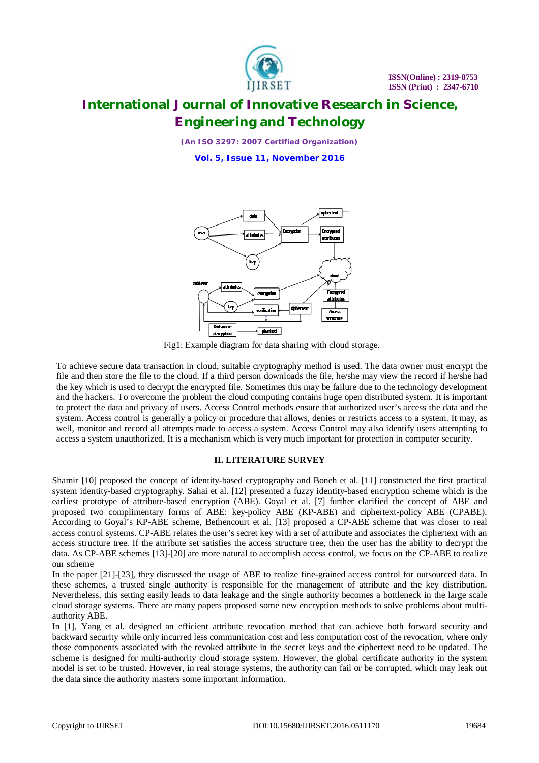

*(An ISO 3297: 2007 Certified Organization)*

**Vol. 5, Issue 11, November 2016**



Fig1: Example diagram for data sharing with cloud storage.

To achieve secure data transaction in cloud, suitable cryptography method is used. The data owner must encrypt the file and then store the file to the cloud. If a third person downloads the file, he/she may view the record if he/she had the key which is used to decrypt the encrypted file. Sometimes this may be failure due to the technology development and the hackers. To overcome the problem the cloud computing contains huge open distributed system. It is important to protect the data and privacy of users. Access Control methods ensure that authorized user's access the data and the system. Access control is generally a policy or procedure that allows, denies or restricts access to a system. It may, as well, monitor and record all attempts made to access a system. Access Control may also identify users attempting to access a system unauthorized. It is a mechanism which is very much important for protection in computer security.

### **II. LITERATURE SURVEY**

Shamir [10] proposed the concept of identity-based cryptography and Boneh et al. [11] constructed the first practical system identity-based cryptography. Sahai et al. [12] presented a fuzzy identity-based encryption scheme which is the earliest prototype of attribute-based encryption (ABE). Goyal et al. [7] further clarified the concept of ABE and proposed two complimentary forms of ABE: key-policy ABE (KP-ABE) and ciphertext-policy ABE (CPABE). According to Goyal's KP-ABE scheme, Bethencourt et al. [13] proposed a CP-ABE scheme that was closer to real access control systems. CP-ABE relates the user's secret key with a set of attribute and associates the ciphertext with an access structure tree. If the attribute set satisfies the access structure tree, then the user has the ability to decrypt the data. As CP-ABE schemes [13]-[20] are more natural to accomplish access control, we focus on the CP-ABE to realize our scheme

In the paper [21]-[23], they discussed the usage of ABE to realize fine-grained access control for outsourced data. In these schemes, a trusted single authority is responsible for the management of attribute and the key distribution. Nevertheless, this setting easily leads to data leakage and the single authority becomes a bottleneck in the large scale cloud storage systems. There are many papers proposed some new encryption methods to solve problems about multiauthority ABE.

In [1], Yang et al. designed an efficient attribute revocation method that can achieve both forward security and backward security while only incurred less communication cost and less computation cost of the revocation, where only those components associated with the revoked attribute in the secret keys and the ciphertext need to be updated. The scheme is designed for multi-authority cloud storage system. However, the global certificate authority in the system model is set to be trusted. However, in real storage systems, the authority can fail or be corrupted, which may leak out the data since the authority masters some important information.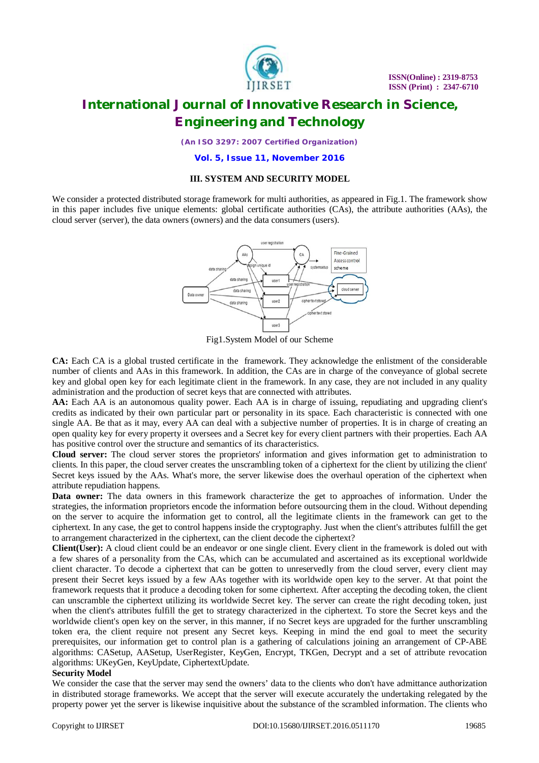

*(An ISO 3297: 2007 Certified Organization)*

**Vol. 5, Issue 11, November 2016**

### **III. SYSTEM AND SECURITY MODEL**

We consider a protected distributed storage framework for multi authorities, as appeared in Fig.1. The framework show in this paper includes five unique elements: global certificate authorities (CAs), the attribute authorities (AAs), the cloud server (server), the data owners (owners) and the data consumers (users).



Fig1.System Model of our Scheme

**CA:** Each CA is a global trusted certificate in the framework. They acknowledge the enlistment of the considerable number of clients and AAs in this framework. In addition, the CAs are in charge of the conveyance of global secrete key and global open key for each legitimate client in the framework. In any case, they are not included in any quality administration and the production of secret keys that are connected with attributes.

AA: Each AA is an autonomous quality power. Each AA is in charge of issuing, repudiating and upgrading client's credits as indicated by their own particular part or personality in its space. Each characteristic is connected with one single AA. Be that as it may, every AA can deal with a subjective number of properties. It is in charge of creating an open quality key for every property it oversees and a Secret key for every client partners with their properties. Each AA has positive control over the structure and semantics of its characteristics.

**Cloud server:** The cloud server stores the proprietors' information and gives information get to administration to clients. In this paper, the cloud server creates the unscrambling token of a ciphertext for the client by utilizing the client' Secret keys issued by the AAs. What's more, the server likewise does the overhaul operation of the ciphertext when attribute repudiation happens.

**Data owner:** The data owners in this framework characterize the get to approaches of information. Under the strategies, the information proprietors encode the information before outsourcing them in the cloud. Without depending on the server to acquire the information get to control, all the legitimate clients in the framework can get to the ciphertext. In any case, the get to control happens inside the cryptography. Just when the client's attributes fulfill the get to arrangement characterized in the ciphertext, can the client decode the ciphertext?

**Client(User):** A cloud client could be an endeavor or one single client. Every client in the framework is doled out with a few shares of a personality from the CAs, which can be accumulated and ascertained as its exceptional worldwide client character. To decode a ciphertext that can be gotten to unreservedly from the cloud server, every client may present their Secret keys issued by a few AAs together with its worldwide open key to the server. At that point the framework requests that it produce a decoding token for some ciphertext. After accepting the decoding token, the client can unscramble the ciphertext utilizing its worldwide Secret key. The server can create the right decoding token, just when the client's attributes fulfill the get to strategy characterized in the ciphertext. To store the Secret keys and the worldwide client's open key on the server, in this manner, if no Secret keys are upgraded for the further unscrambling token era, the client require not present any Secret keys. Keeping in mind the end goal to meet the security prerequisites, our information get to control plan is a gathering of calculations joining an arrangement of CP-ABE algorithms: CASetup, AASetup, UserRegister, KeyGen, Encrypt, TKGen, Decrypt and a set of attribute revocation algorithms: UKeyGen, KeyUpdate, CiphertextUpdate.

#### **Security Model**

We consider the case that the server may send the owners' data to the clients who don't have admittance authorization in distributed storage frameworks. We accept that the server will execute accurately the undertaking relegated by the property power yet the server is likewise inquisitive about the substance of the scrambled information. The clients who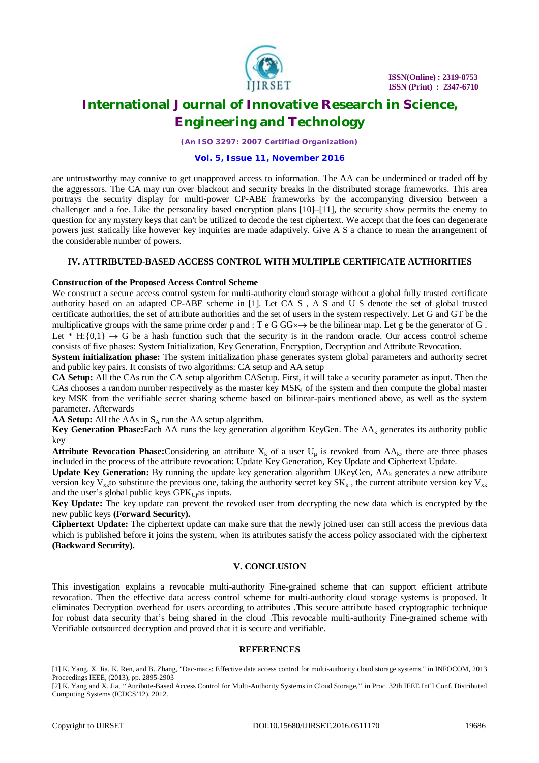

*(An ISO 3297: 2007 Certified Organization)*

#### **Vol. 5, Issue 11, November 2016**

are untrustworthy may connive to get unapproved access to information. The AA can be undermined or traded off by the aggressors. The CA may run over blackout and security breaks in the distributed storage frameworks. This area portrays the security display for multi-power CP-ABE frameworks by the accompanying diversion between a challenger and a foe. Like the personality based encryption plans  $[10]$ – $[11]$ , the security show permits the enemy to question for any mystery keys that can't be utilized to decode the test ciphertext. We accept that the foes can degenerate powers just statically like however key inquiries are made adaptively. Give A S a chance to mean the arrangement of the considerable number of powers.

### **IV. ATTRIBUTED-BASED ACCESS CONTROL WITH MULTIPLE CERTIFICATE AUTHORITIES**

#### **Construction of the Proposed Access Control Scheme**

We construct a secure access control system for multi-authority cloud storage without a global fully trusted certificate authority based on an adapted CP-ABE scheme in [1]. Let CA S , A S and U S denote the set of global trusted certificate authorities, the set of attribute authorities and the set of users in the system respectively. Let G and GT be the multiplicative groups with the same prime order p and : T e G GG $\times \rightarrow$  be the bilinear map. Let g be the generator of G. Let  $*$  H:{0,1}  $\rightarrow$  G be a hash function such that the security is in the random oracle. Our access control scheme consists of five phases: System Initialization, Key Generation, Encryption, Decryption and Attribute Revocation.

**System initialization phase:** The system initialization phase generates system global parameters and authority secret and public key pairs. It consists of two algorithms: CA setup and AA setup

**CA Setup:** All the CAs run the CA setup algorithm CASetup. First, it will take a security parameter as input. Then the CAs chooses a random number respectively as the master key  $MSK_i$  of the system and then compute the global master key MSK from the verifiable secret sharing scheme based on bilinear-pairs mentioned above, as well as the system parameter. Afterwards

**AA Setup:** All the AAs in  $S_A$  run the AA setup algorithm.

**Key Generation Phase:**Each AA runs the key generation algorithm KeyGen. The AA<sub>k</sub> generates its authority public key

**Attribute Revocation Phase:**Considering an attribute  $X_k$  of a user  $U_u$  is revoked from  $AA_k$ , there are three phases included in the process of the attribute revocation: Update Key Generation, Key Update and Ciphertext Update.

**Update Key Generation:** By running the update key generation algorithm UKeyGen,  $AA_k$  generates a new attribute version key V<sub>xk</sub>to substitute the previous one, taking the authority secret key  $SK_k$ , the current attribute version key V<sub>xk</sub> and the user's global public keys  $GPK<sub>U</sub>$ as inputs.

**Key Update:** The key update can prevent the revoked user from decrypting the new data which is encrypted by the new public keys **(Forward Security).**

**Ciphertext Update:** The ciphertext update can make sure that the newly joined user can still access the previous data which is published before it joins the system, when its attributes satisfy the access policy associated with the ciphertext **(Backward Security).**

#### **V. CONCLUSION**

This investigation explains a revocable multi-authority Fine-grained scheme that can support efficient attribute revocation. Then the effective data access control scheme for multi-authority cloud storage systems is proposed. It eliminates Decryption overhead for users according to attributes .This secure attribute based cryptographic technique for robust data security that's being shared in the cloud .This revocable multi-authority Fine-grained scheme with Verifiable outsourced decryption and proved that it is secure and verifiable.

### **REFERENCES**

[1] K. Yang, X. Jia, K. Ren, and B. Zhang, "Dac-macs: Effective data access control for multi-authority cloud storage systems," in INFOCOM, 2013 Proceedings IEEE, (2013), pp. 2895-2903

<sup>[2]</sup> K. Yang and X. Jia, ''Attribute-Based Access Control for Multi-Authority Systems in Cloud Storage,'' in Proc. 32th IEEE Int'l Conf. Distributed Computing Systems (ICDCS'12), 2012.